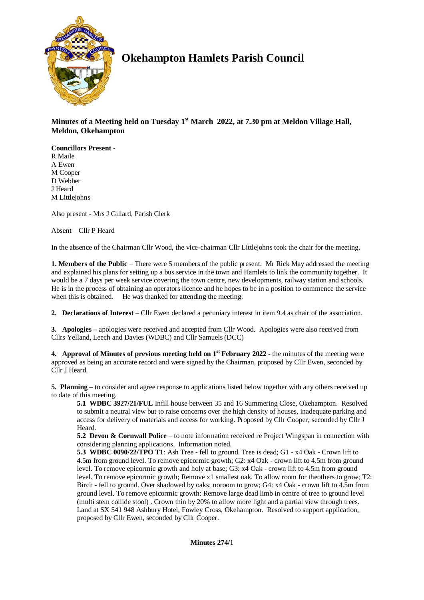

# **Okehampton Hamlets Parish Council**

**Minutes of a Meeting held on Tuesday 1 st March 2022, at 7.30 pm at Meldon Village Hall, Meldon, Okehampton**

**Councillors Present -** R Maile A Ewen M Cooper D Webber J Heard M Littlejohns

Also present - Mrs J Gillard, Parish Clerk

Absent – Cllr P Heard

In the absence of the Chairman Cllr Wood, the vice-chairman Cllr Littlejohns took the chair for the meeting.

**1. Members of the Public** – There were 5 members of the public present. Mr Rick May addressed the meeting and explained his plans for setting up a bus service in the town and Hamlets to link the community together. It would be a 7 days per week service covering the town centre, new developments, railway station and schools. He is in the process of obtaining an operators licence and he hopes to be in a position to commence the service when this is obtained. He was thanked for attending the meeting.

**2. Declarations of Interest** – Cllr Ewen declared a pecuniary interest in item 9.4 as chair of the association.

**3. Apologies –** apologies were received and accepted from Cllr Wood. Apologies were also received from Cllrs Yelland, Leech and Davies (WDBC) and Cllr Samuels (DCC)

**4. Approval of Minutes of previous meeting held on 1 st February 2022 -** the minutes of the meeting were approved as being an accurate record and were signed by the Chairman, proposed by Cllr Ewen, seconded by Cllr J Heard.

**5. Planning –** to consider and agree response to applications listed below together with any others received up to date of this meeting.

**5.1 WDBC 3927/21/FUL** Infill house between 35 and 16 Summering Close, Okehampton. Resolved to submit a neutral view but to raise concerns over the high density of houses, inadequate parking and access for delivery of materials and access for working. Proposed by Cllr Cooper, seconded by Cllr J Heard.

**5.2 Devon & Cornwall Police** – to note information received re Project Wingspan in connection with considering planning applications. Information noted.

**5.3 WDBC 0090/22/TPO T1**: Ash Tree - fell to ground. Tree is dead; G1 - x4 Oak - Crown lift to 4.5m from ground level. To remove epicormic growth; G2: x4 Oak - crown lift to 4.5m from ground level. To remove epicormic growth and holy at base; G3: x4 Oak - crown lift to 4.5m from ground level. To remove epicormic growth; Remove x1 smallest oak. To allow room for theothers to grow; T2: Birch - fell to ground. Over shadowed by oaks; noroom to grow; G4: x4 Oak - crown lift to 4.5m from ground level. To remove epicormic growth: Remove large dead limb in centre of tree to ground level (multi stem collide stool) . Crown thin by 20% to allow more light and a partial view through trees. Land at SX 541 948 Ashbury Hotel, Fowley Cross, Okehampton. Resolved to support application, proposed by Cllr Ewen, seconded by Cllr Cooper.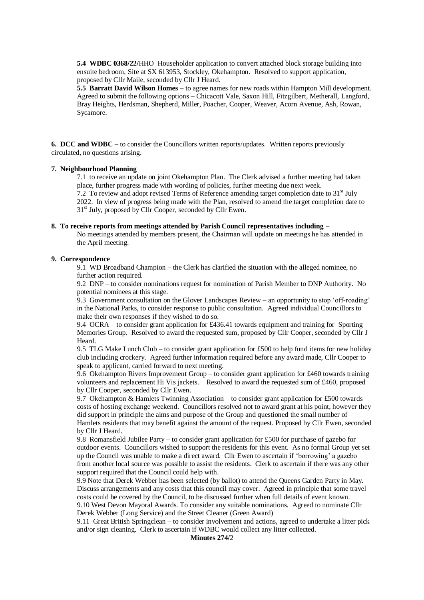**5.4 WDBC 0368/22/**HHO Householder application to convert attached block storage building into ensuite bedroom, Site at SX 613953, Stockley, Okehampton. Resolved to support application, proposed by Cllr Maile, seconded by Cllr J Heard.

**5.5 Barratt David Wilson Homes** – to agree names for new roads within Hampton Mill development. Agreed to submit the following options – Chicacott Vale, Saxon Hill, Fitzgilbert, Metherall, Langford, Bray Heights, Herdsman, Shepherd, Miller, Poacher, Cooper, Weaver, Acorn Avenue, Ash, Rowan, Sycamore.

**6. DCC and WDBC –** to consider the Councillors written reports/updates. Written reports previously circulated, no questions arising.

#### **7. Neighbourhood Planning**

7.1 to receive an update on joint Okehampton Plan. The Clerk advised a further meeting had taken place, further progress made with wording of policies, further meeting due next week. 7.2 To review and adopt revised Terms of Reference amending target completion date to  $31<sup>st</sup>$  July

2022. In view of progress being made with the Plan, resolved to amend the target completion date to 31<sup>st</sup> July, proposed by Cllr Cooper, seconded by Cllr Ewen.

## **8. To receive reports from meetings attended by Parish Council representatives including** –

No meetings attended by members present, the Chairman will update on meetings he has attended in the April meeting.

#### **9. Correspondence**

9.1 WD Broadband Champion – the Clerk has clarified the situation with the alleged nominee, no further action required.

9.2 DNP – to consider nominations request for nomination of Parish Member to DNP Authority. No potential nominees at this stage.

9.3 Government consultation on the Glover Landscapes Review – an opportunity to stop 'off-roading' in the National Parks, to consider response to public consultation. Agreed individual Councillors to make their own responses if they wished to do so.

9.4 OCRA – to consider grant application for £436.41 towards equipment and training for Sporting Memories Group. Resolved to award the requested sum, proposed by Cllr Cooper, seconded by Cllr J Heard.

9.5 TLG Make Lunch Club – to consider grant application for £500 to help fund items for new holiday club including crockery. Agreed further information required before any award made, Cllr Cooper to speak to applicant, carried forward to next meeting.

9.6 Okehampton Rivers Improvement Group – to consider grant application for £460 towards training volunteers and replacement Hi Vis jackets. Resolved to award the requested sum of £460, proposed by Cllr Cooper, seconded by Cllr Ewen.

9.7 Okehampton & Hamlets Twinning Association – to consider grant application for £500 towards costs of hosting exchange weekend. Councillors resolved not to award grant at his point, however they did support in principle the aims and purpose of the Group and questioned the small number of Hamlets residents that may benefit against the amount of the request. Proposed by Cllr Ewen, seconded by Cllr J Heard.

9.8 Romansfield Jubilee Party – to consider grant application for £500 for purchase of gazebo for outdoor events. Councillors wished to support the residents for this event. As no formal Group yet set up the Council was unable to make a direct award. Cllr Ewen to ascertain if 'borrowing' a gazebo from another local source was possible to assist the residents. Clerk to ascertain if there was any other support required that the Council could help with.

9.9 Note that Derek Webber has been selected (by ballot) to attend the Queens Garden Party in May. Discuss arrangements and any costs that this council may cover. Agreed in principle that some travel costs could be covered by the Council, to be discussed further when full details of event known. 9.10 West Devon Mayoral Awards. To consider any suitable nominations. Agreed to nominate Cllr Derek Webber (Long Service) and the Street Cleaner (Green Award)

9.11 Great British Springclean – to consider involvement and actions, agreed to undertake a litter pick and/or sign cleaning. Clerk to ascertain if WDBC would collect any litter collected.

**Minutes 274/**2